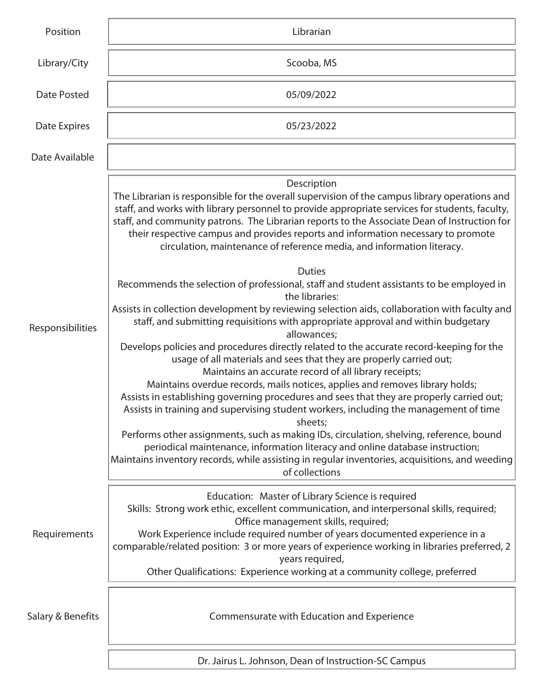| Position          | Librarian                                                                                                                                                                                                                                                                                                                                                                                                                                                                                                                                                                                                                                                                                                                                                                                                                                                                                                                                                                                                                                                                                                                                                                                                                                                                                                                                                                                                                                                                                                                                                                                                                      |
|-------------------|--------------------------------------------------------------------------------------------------------------------------------------------------------------------------------------------------------------------------------------------------------------------------------------------------------------------------------------------------------------------------------------------------------------------------------------------------------------------------------------------------------------------------------------------------------------------------------------------------------------------------------------------------------------------------------------------------------------------------------------------------------------------------------------------------------------------------------------------------------------------------------------------------------------------------------------------------------------------------------------------------------------------------------------------------------------------------------------------------------------------------------------------------------------------------------------------------------------------------------------------------------------------------------------------------------------------------------------------------------------------------------------------------------------------------------------------------------------------------------------------------------------------------------------------------------------------------------------------------------------------------------|
| Library/City      | Scooba, MS                                                                                                                                                                                                                                                                                                                                                                                                                                                                                                                                                                                                                                                                                                                                                                                                                                                                                                                                                                                                                                                                                                                                                                                                                                                                                                                                                                                                                                                                                                                                                                                                                     |
| Date Posted       | 05/09/2022                                                                                                                                                                                                                                                                                                                                                                                                                                                                                                                                                                                                                                                                                                                                                                                                                                                                                                                                                                                                                                                                                                                                                                                                                                                                                                                                                                                                                                                                                                                                                                                                                     |
| Date Expires      | 05/23/2022                                                                                                                                                                                                                                                                                                                                                                                                                                                                                                                                                                                                                                                                                                                                                                                                                                                                                                                                                                                                                                                                                                                                                                                                                                                                                                                                                                                                                                                                                                                                                                                                                     |
| Date Available    |                                                                                                                                                                                                                                                                                                                                                                                                                                                                                                                                                                                                                                                                                                                                                                                                                                                                                                                                                                                                                                                                                                                                                                                                                                                                                                                                                                                                                                                                                                                                                                                                                                |
| Responsibilities  | Description<br>The Librarian is responsible for the overall supervision of the campus library operations and<br>staff, and works with library personnel to provide appropriate services for students, faculty,<br>staff, and community patrons. The Librarian reports to the Associate Dean of Instruction for<br>their respective campus and provides reports and information necessary to promote<br>circulation, maintenance of reference media, and information literacy.<br><b>Duties</b><br>Recommends the selection of professional, staff and student assistants to be employed in<br>the libraries:<br>Assists in collection development by reviewing selection aids, collaboration with faculty and<br>staff, and submitting requisitions with appropriate approval and within budgetary<br>allowances;<br>Develops policies and procedures directly related to the accurate record-keeping for the<br>usage of all materials and sees that they are properly carried out;<br>Maintains an accurate record of all library receipts;<br>Maintains overdue records, mails notices, applies and removes library holds;<br>Assists in establishing governing procedures and sees that they are properly carried out;<br>Assists in training and supervising student workers, including the management of time<br>sheets;<br>Performs other assignments, such as making IDs, circulation, shelving, reference, bound<br>periodical maintenance, information literacy and online database instruction;<br>Maintains inventory records, while assisting in regular inventories, acquisitions, and weeding<br>of collections |
| Requirements      | Education: Master of Library Science is required<br>Skills: Strong work ethic, excellent communication, and interpersonal skills, required;<br>Office management skills, required;<br>Work Experience include required number of years documented experience in a<br>comparable/related position: 3 or more years of experience working in libraries preferred, 2<br>years required,<br>Other Qualifications: Experience working at a community college, preferred                                                                                                                                                                                                                                                                                                                                                                                                                                                                                                                                                                                                                                                                                                                                                                                                                                                                                                                                                                                                                                                                                                                                                             |
| Salary & Benefits | Commensurate with Education and Experience                                                                                                                                                                                                                                                                                                                                                                                                                                                                                                                                                                                                                                                                                                                                                                                                                                                                                                                                                                                                                                                                                                                                                                                                                                                                                                                                                                                                                                                                                                                                                                                     |
|                   | Dr. Jairus L. Johnson, Dean of Instruction-SC Campus                                                                                                                                                                                                                                                                                                                                                                                                                                                                                                                                                                                                                                                                                                                                                                                                                                                                                                                                                                                                                                                                                                                                                                                                                                                                                                                                                                                                                                                                                                                                                                           |